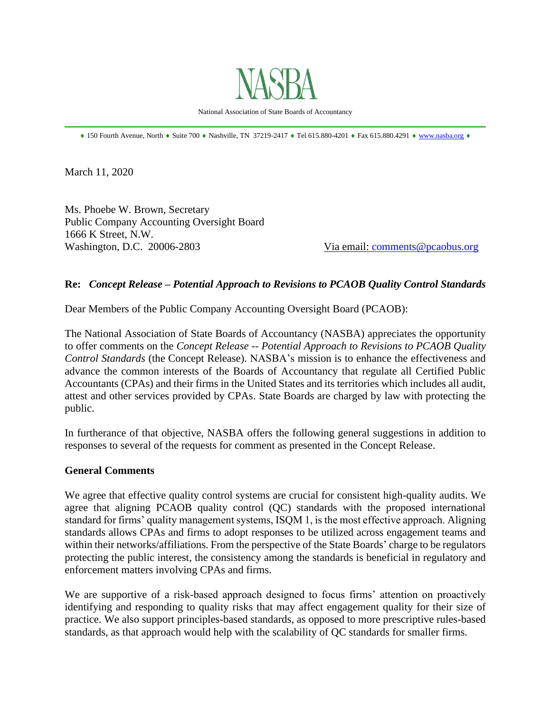

National Association of State Boards of Accountancy \_\_\_\_\_\_\_\_\_\_\_\_\_\_\_\_\_\_\_\_\_\_\_\_\_\_\_\_\_\_\_\_\_\_\_\_\_\_\_\_\_\_\_\_\_\_\_\_\_\_\_\_\_\_\_\_\_\_\_\_\_\_\_\_\_\_\_\_\_\_\_\_\_\_\_\_\_\_

 $\text{\textbullet}$  150 Fourth Avenue, North  $\text{\textbullet}$  Suite 700  $\text{\textbullet}$  Nashville, TN 37219-2417  $\text{\textbullet}$  Tel 615.880-4201  $\text{\textbullet}$  Fax 615.880.4291  $\text{\textbullet}$  [www.nasba.org](http://www.nasba.org/)  $\text{\textbullet}$ 

March 11, 2020

Ms. Phoebe W. Brown, Secretary Public Company Accounting Oversight Board 1666 K Street, N.W. Washington, D.C. 20006-2803 Via email: [comments@pcaobus.org](mailto:comments@pcaobus.org)

#### **Re:** *Concept Release – Potential Approach to Revisions to PCAOB Quality Control Standards*

Dear Members of the Public Company Accounting Oversight Board (PCAOB):

The National Association of State Boards of Accountancy (NASBA) appreciates the opportunity to offer comments on the *Concept Release -- Potential Approach to Revisions to PCAOB Quality Control Standards* (the Concept Release). NASBA's mission is to enhance the effectiveness and advance the common interests of the Boards of Accountancy that regulate all Certified Public Accountants (CPAs) and their firms in the United States and its territories which includes all audit, attest and other services provided by CPAs. State Boards are charged by law with protecting the public.

In furtherance of that objective, NASBA offers the following general suggestions in addition to responses to several of the requests for comment as presented in the Concept Release.

#### **General Comments**

We agree that effective quality control systems are crucial for consistent high-quality audits. We agree that aligning PCAOB quality control (QC) standards with the proposed international standard for firms' quality management systems, ISQM 1, is the most effective approach. Aligning standards allows CPAs and firms to adopt responses to be utilized across engagement teams and within their networks/affiliations. From the perspective of the State Boards' charge to be regulators protecting the public interest, the consistency among the standards is beneficial in regulatory and enforcement matters involving CPAs and firms.

We are supportive of a risk-based approach designed to focus firms' attention on proactively identifying and responding to quality risks that may affect engagement quality for their size of practice. We also support principles-based standards, as opposed to more prescriptive rules-based standards, as that approach would help with the scalability of QC standards for smaller firms.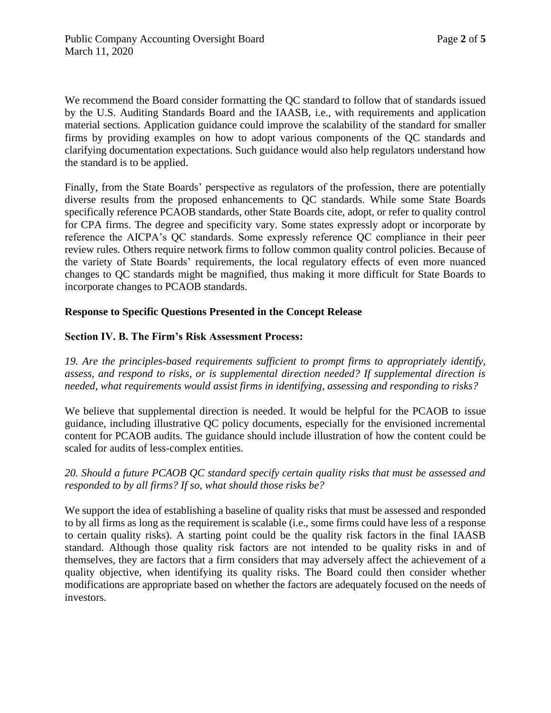We recommend the Board consider formatting the QC standard to follow that of standards issued by the U.S. Auditing Standards Board and the IAASB, i.e., with requirements and application material sections. Application guidance could improve the scalability of the standard for smaller firms by providing examples on how to adopt various components of the QC standards and clarifying documentation expectations. Such guidance would also help regulators understand how the standard is to be applied.

Finally, from the State Boards' perspective as regulators of the profession, there are potentially diverse results from the proposed enhancements to QC standards. While some State Boards specifically reference PCAOB standards, other State Boards cite, adopt, or refer to quality control for CPA firms. The degree and specificity vary. Some states expressly adopt or incorporate by reference the AICPA's QC standards. Some expressly reference QC compliance in their peer review rules. Others require network firms to follow common quality control policies. Because of the variety of State Boards' requirements, the local regulatory effects of even more nuanced changes to QC standards might be magnified, thus making it more difficult for State Boards to incorporate changes to PCAOB standards.

# **Response to Specific Questions Presented in the Concept Release**

# **Section IV. B. The Firm's Risk Assessment Process:**

*19. Are the principles-based requirements sufficient to prompt firms to appropriately identify, assess, and respond to risks, or is supplemental direction needed? If supplemental direction is needed, what requirements would assist firms in identifying, assessing and responding to risks?*

We believe that supplemental direction is needed. It would be helpful for the PCAOB to issue guidance, including illustrative QC policy documents, especially for the envisioned incremental content for PCAOB audits. The guidance should include illustration of how the content could be scaled for audits of less-complex entities.

## *20. Should a future PCAOB QC standard specify certain quality risks that must be assessed and responded to by all firms? If so, what should those risks be?*

We support the idea of establishing a baseline of quality risks that must be assessed and responded to by all firms as long as the requirement is scalable (i.e., some firms could have less of a response to certain quality risks). A starting point could be the quality risk factors in the final IAASB standard. Although those quality risk factors are not intended to be quality risks in and of themselves, they are factors that a firm considers that may adversely affect the achievement of a quality objective, when identifying its quality risks. The Board could then consider whether modifications are appropriate based on whether the factors are adequately focused on the needs of investors.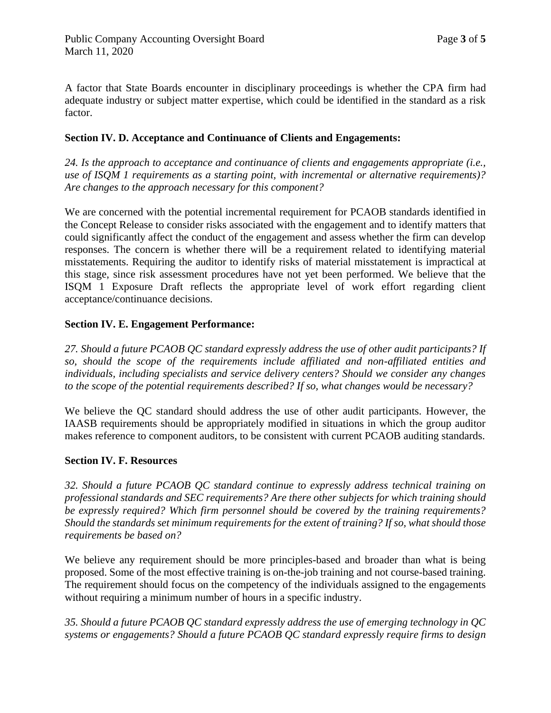A factor that State Boards encounter in disciplinary proceedings is whether the CPA firm had adequate industry or subject matter expertise, which could be identified in the standard as a risk factor.

## **Section IV. D. Acceptance and Continuance of Clients and Engagements:**

*24. Is the approach to acceptance and continuance of clients and engagements appropriate (i.e., use of ISQM 1 requirements as a starting point, with incremental or alternative requirements)? Are changes to the approach necessary for this component?*

We are concerned with the potential incremental requirement for PCAOB standards identified in the Concept Release to consider risks associated with the engagement and to identify matters that could significantly affect the conduct of the engagement and assess whether the firm can develop responses. The concern is whether there will be a requirement related to identifying material misstatements. Requiring the auditor to identify risks of material misstatement is impractical at this stage, since risk assessment procedures have not yet been performed. We believe that the ISQM 1 Exposure Draft reflects the appropriate level of work effort regarding client acceptance/continuance decisions.

## **Section IV. E. Engagement Performance:**

*27. Should a future PCAOB QC standard expressly address the use of other audit participants? If so, should the scope of the requirements include affiliated and non-affiliated entities and individuals, including specialists and service delivery centers? Should we consider any changes to the scope of the potential requirements described? If so, what changes would be necessary?*

We believe the QC standard should address the use of other audit participants. However, the IAASB requirements should be appropriately modified in situations in which the group auditor makes reference to component auditors, to be consistent with current PCAOB auditing standards.

#### **Section IV. F. Resources**

*32. Should a future PCAOB QC standard continue to expressly address technical training on professional standards and SEC requirements? Are there other subjects for which training should be expressly required? Which firm personnel should be covered by the training requirements? Should the standards set minimum requirements for the extent of training? If so, what should those requirements be based on?*

We believe any requirement should be more principles-based and broader than what is being proposed. Some of the most effective training is on-the-job training and not course-based training. The requirement should focus on the competency of the individuals assigned to the engagements without requiring a minimum number of hours in a specific industry.

*35. Should a future PCAOB QC standard expressly address the use of emerging technology in QC systems or engagements? Should a future PCAOB QC standard expressly require firms to design*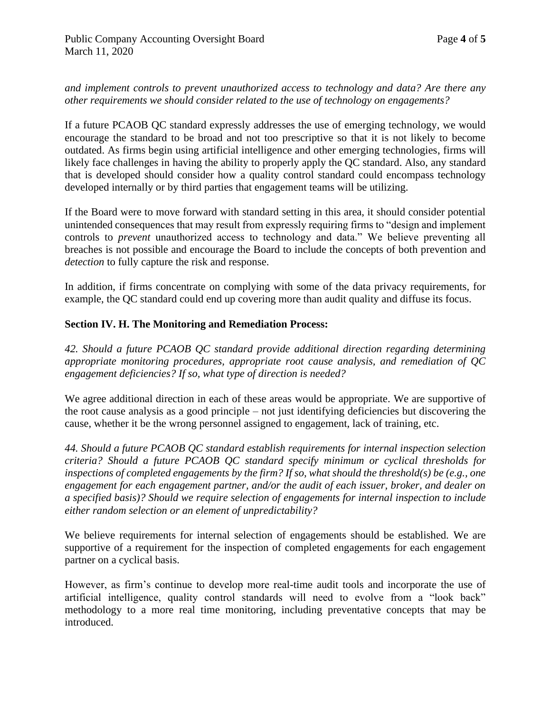#### *and implement controls to prevent unauthorized access to technology and data? Are there any other requirements we should consider related to the use of technology on engagements?*

If a future PCAOB QC standard expressly addresses the use of emerging technology, we would encourage the standard to be broad and not too prescriptive so that it is not likely to become outdated. As firms begin using artificial intelligence and other emerging technologies, firms will likely face challenges in having the ability to properly apply the QC standard. Also, any standard that is developed should consider how a quality control standard could encompass technology developed internally or by third parties that engagement teams will be utilizing.

If the Board were to move forward with standard setting in this area, it should consider potential unintended consequences that may result from expressly requiring firms to "design and implement controls to *prevent* unauthorized access to technology and data." We believe preventing all breaches is not possible and encourage the Board to include the concepts of both prevention and *detection* to fully capture the risk and response.

In addition, if firms concentrate on complying with some of the data privacy requirements, for example, the QC standard could end up covering more than audit quality and diffuse its focus.

## **Section IV. H. The Monitoring and Remediation Process:**

*42. Should a future PCAOB QC standard provide additional direction regarding determining appropriate monitoring procedures, appropriate root cause analysis, and remediation of QC engagement deficiencies? If so, what type of direction is needed?*

We agree additional direction in each of these areas would be appropriate. We are supportive of the root cause analysis as a good principle – not just identifying deficiencies but discovering the cause, whether it be the wrong personnel assigned to engagement, lack of training, etc.

*44. Should a future PCAOB QC standard establish requirements for internal inspection selection criteria? Should a future PCAOB QC standard specify minimum or cyclical thresholds for inspections of completed engagements by the firm? If so, what should the threshold(s) be (e.g., one engagement for each engagement partner, and/or the audit of each issuer, broker, and dealer on a specified basis)? Should we require selection of engagements for internal inspection to include either random selection or an element of unpredictability?*

We believe requirements for internal selection of engagements should be established. We are supportive of a requirement for the inspection of completed engagements for each engagement partner on a cyclical basis.

However, as firm's continue to develop more real-time audit tools and incorporate the use of artificial intelligence, quality control standards will need to evolve from a "look back" methodology to a more real time monitoring, including preventative concepts that may be introduced.